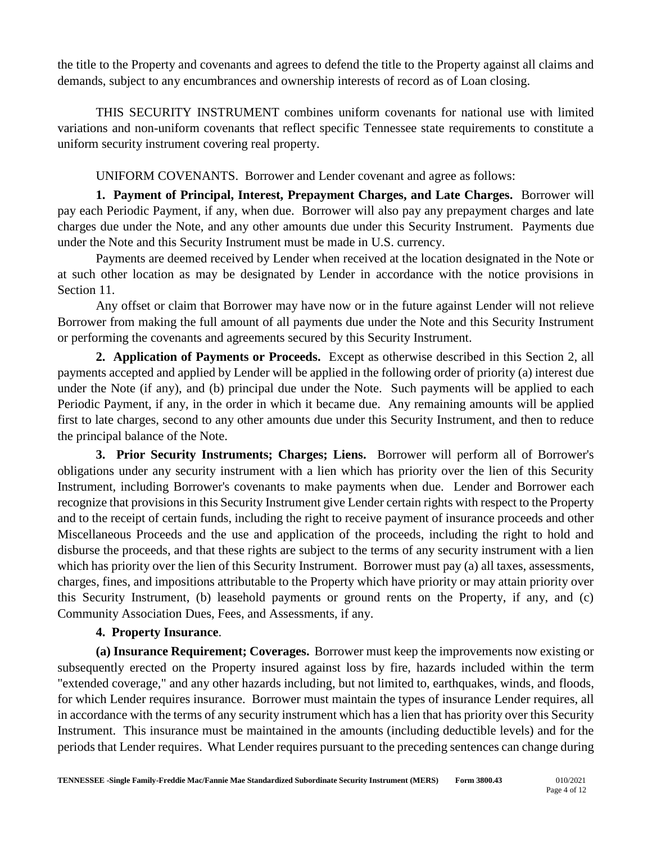the title to the Property and covenants and agrees to defend the title to the Property against all claims and demands, subject to any encumbrances and ownership interests of record as of Loan closing.

THIS SECURITY INSTRUMENT combines uniform covenants for national use with limited variations and non-uniform covenants that reflect specific Tennessee state requirements to constitute a uniform security instrument covering real property.

UNIFORM COVENANTS. Borrower and Lender covenant and agree as follows:

**1. Payment of Principal, Interest, Prepayment Charges, and Late Charges.** Borrower will pay each Periodic Payment, if any, when due. Borrower will also pay any prepayment charges and late charges due under the Note, and any other amounts due under this Security Instrument. Payments due under the Note and this Security Instrument must be made in U.S. currency.

Payments are deemed received by Lender when received at the location designated in the Note or at such other location as may be designated by Lender in accordance with the notice provisions in Section 11.

Any offset or claim that Borrower may have now or in the future against Lender will not relieve Borrower from making the full amount of all payments due under the Note and this Security Instrument or performing the covenants and agreements secured by this Security Instrument.

**2. Application of Payments or Proceeds.** Except as otherwise described in this Section 2, all payments accepted and applied by Lender will be applied in the following order of priority (a) interest due under the Note (if any), and (b) principal due under the Note. Such payments will be applied to each Periodic Payment, if any, in the order in which it became due. Any remaining amounts will be applied first to late charges, second to any other amounts due under this Security Instrument, and then to reduce the principal balance of the Note.

**3. Prior Security Instruments; Charges; Liens.** Borrower will perform all of Borrower's obligations under any security instrument with a lien which has priority over the lien of this Security Instrument, including Borrower's covenants to make payments when due. Lender and Borrower each recognize that provisions in this Security Instrument give Lender certain rights with respect to the Property and to the receipt of certain funds, including the right to receive payment of insurance proceeds and other Miscellaneous Proceeds and the use and application of the proceeds, including the right to hold and disburse the proceeds, and that these rights are subject to the terms of any security instrument with a lien which has priority over the lien of this Security Instrument. Borrower must pay (a) all taxes, assessments, charges, fines, and impositions attributable to the Property which have priority or may attain priority over this Security Instrument, (b) leasehold payments or ground rents on the Property, if any, and (c) Community Association Dues, Fees, and Assessments, if any.

# **4. Property Insurance**.

**(a) Insurance Requirement; Coverages.** Borrower must keep the improvements now existing or subsequently erected on the Property insured against loss by fire, hazards included within the term "extended coverage," and any other hazards including, but not limited to, earthquakes, winds, and floods, for which Lender requires insurance. Borrower must maintain the types of insurance Lender requires, all in accordance with the terms of any security instrument which has a lien that has priority over this Security Instrument. This insurance must be maintained in the amounts (including deductible levels) and for the periods that Lender requires. What Lender requires pursuant to the preceding sentences can change during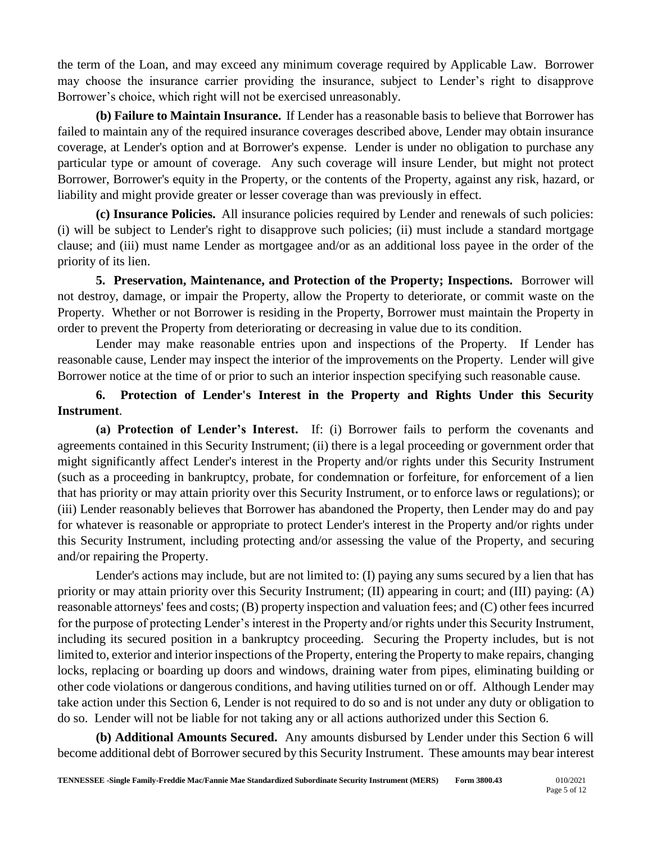the term of the Loan, and may exceed any minimum coverage required by Applicable Law. Borrower may choose the insurance carrier providing the insurance, subject to Lender's right to disapprove Borrower's choice, which right will not be exercised unreasonably.

**(b) Failure to Maintain Insurance.** If Lender has a reasonable basis to believe that Borrower has failed to maintain any of the required insurance coverages described above, Lender may obtain insurance coverage, at Lender's option and at Borrower's expense. Lender is under no obligation to purchase any particular type or amount of coverage. Any such coverage will insure Lender, but might not protect Borrower, Borrower's equity in the Property, or the contents of the Property, against any risk, hazard, or liability and might provide greater or lesser coverage than was previously in effect.

**(c) Insurance Policies.** All insurance policies required by Lender and renewals of such policies: (i) will be subject to Lender's right to disapprove such policies; (ii) must include a standard mortgage clause; and (iii) must name Lender as mortgagee and/or as an additional loss payee in the order of the priority of its lien.

**5. Preservation, Maintenance, and Protection of the Property; Inspections.** Borrower will not destroy, damage, or impair the Property, allow the Property to deteriorate, or commit waste on the Property. Whether or not Borrower is residing in the Property, Borrower must maintain the Property in order to prevent the Property from deteriorating or decreasing in value due to its condition.

Lender may make reasonable entries upon and inspections of the Property. If Lender has reasonable cause, Lender may inspect the interior of the improvements on the Property. Lender will give Borrower notice at the time of or prior to such an interior inspection specifying such reasonable cause.

**6. Protection of Lender's Interest in the Property and Rights Under this Security Instrument**.

**(a) Protection of Lender's Interest.** If: (i) Borrower fails to perform the covenants and agreements contained in this Security Instrument; (ii) there is a legal proceeding or government order that might significantly affect Lender's interest in the Property and/or rights under this Security Instrument (such as a proceeding in bankruptcy, probate, for condemnation or forfeiture, for enforcement of a lien that has priority or may attain priority over this Security Instrument, or to enforce laws or regulations); or (iii) Lender reasonably believes that Borrower has abandoned the Property, then Lender may do and pay for whatever is reasonable or appropriate to protect Lender's interest in the Property and/or rights under this Security Instrument, including protecting and/or assessing the value of the Property, and securing and/or repairing the Property.

Lender's actions may include, but are not limited to: (I) paying any sums secured by a lien that has priority or may attain priority over this Security Instrument; (II) appearing in court; and (III) paying: (A) reasonable attorneys' fees and costs; (B) property inspection and valuation fees; and (C) other fees incurred for the purpose of protecting Lender's interest in the Property and/or rights under this Security Instrument, including its secured position in a bankruptcy proceeding. Securing the Property includes, but is not limited to, exterior and interior inspections of the Property, entering the Property to make repairs, changing locks, replacing or boarding up doors and windows, draining water from pipes, eliminating building or other code violations or dangerous conditions, and having utilities turned on or off. Although Lender may take action under this Section 6, Lender is not required to do so and is not under any duty or obligation to do so. Lender will not be liable for not taking any or all actions authorized under this Section 6.

**(b) Additional Amounts Secured.** Any amounts disbursed by Lender under this Section 6 will become additional debt of Borrower secured by this Security Instrument. These amounts may bear interest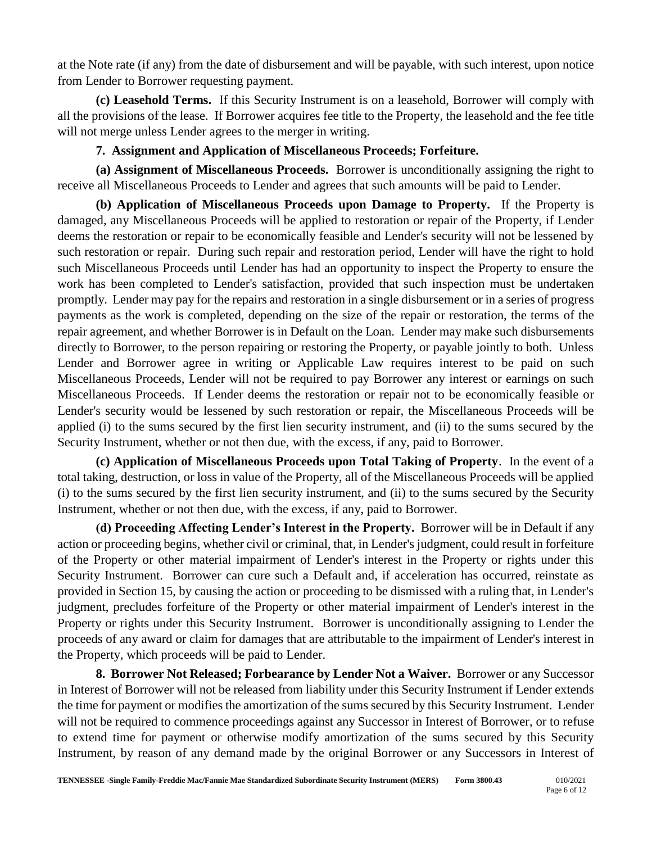at the Note rate (if any) from the date of disbursement and will be payable, with such interest, upon notice from Lender to Borrower requesting payment.

**(c) Leasehold Terms.** If this Security Instrument is on a leasehold, Borrower will comply with all the provisions of the lease. If Borrower acquires fee title to the Property, the leasehold and the fee title will not merge unless Lender agrees to the merger in writing.

### **7. Assignment and Application of Miscellaneous Proceeds; Forfeiture.**

**(a) Assignment of Miscellaneous Proceeds.** Borrower is unconditionally assigning the right to receive all Miscellaneous Proceeds to Lender and agrees that such amounts will be paid to Lender.

**(b) Application of Miscellaneous Proceeds upon Damage to Property.** If the Property is damaged, any Miscellaneous Proceeds will be applied to restoration or repair of the Property, if Lender deems the restoration or repair to be economically feasible and Lender's security will not be lessened by such restoration or repair. During such repair and restoration period, Lender will have the right to hold such Miscellaneous Proceeds until Lender has had an opportunity to inspect the Property to ensure the work has been completed to Lender's satisfaction, provided that such inspection must be undertaken promptly. Lender may pay for the repairs and restoration in a single disbursement or in a series of progress payments as the work is completed, depending on the size of the repair or restoration, the terms of the repair agreement, and whether Borrower is in Default on the Loan. Lender may make such disbursements directly to Borrower, to the person repairing or restoring the Property, or payable jointly to both. Unless Lender and Borrower agree in writing or Applicable Law requires interest to be paid on such Miscellaneous Proceeds, Lender will not be required to pay Borrower any interest or earnings on such Miscellaneous Proceeds. If Lender deems the restoration or repair not to be economically feasible or Lender's security would be lessened by such restoration or repair, the Miscellaneous Proceeds will be applied (i) to the sums secured by the first lien security instrument, and (ii) to the sums secured by the Security Instrument, whether or not then due, with the excess, if any, paid to Borrower.

**(c) Application of Miscellaneous Proceeds upon Total Taking of Property**. In the event of a total taking, destruction, or loss in value of the Property, all of the Miscellaneous Proceeds will be applied (i) to the sums secured by the first lien security instrument, and (ii) to the sums secured by the Security Instrument, whether or not then due, with the excess, if any, paid to Borrower.

**(d) Proceeding Affecting Lender's Interest in the Property.** Borrower will be in Default if any action or proceeding begins, whether civil or criminal, that, in Lender's judgment, could result in forfeiture of the Property or other material impairment of Lender's interest in the Property or rights under this Security Instrument. Borrower can cure such a Default and, if acceleration has occurred, reinstate as provided in Section 15, by causing the action or proceeding to be dismissed with a ruling that, in Lender's judgment, precludes forfeiture of the Property or other material impairment of Lender's interest in the Property or rights under this Security Instrument. Borrower is unconditionally assigning to Lender the proceeds of any award or claim for damages that are attributable to the impairment of Lender's interest in the Property, which proceeds will be paid to Lender.

**8. Borrower Not Released; Forbearance by Lender Not a Waiver.** Borrower or any Successor in Interest of Borrower will not be released from liability under this Security Instrument if Lender extends the time for payment or modifies the amortization of the sums secured by this Security Instrument. Lender will not be required to commence proceedings against any Successor in Interest of Borrower, or to refuse to extend time for payment or otherwise modify amortization of the sums secured by this Security Instrument, by reason of any demand made by the original Borrower or any Successors in Interest of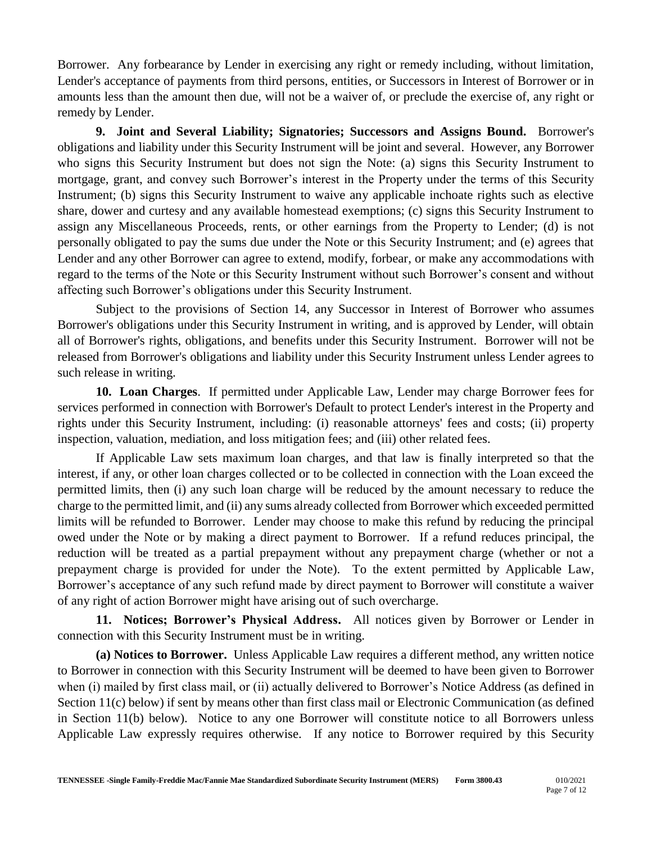Borrower. Any forbearance by Lender in exercising any right or remedy including, without limitation, Lender's acceptance of payments from third persons, entities, or Successors in Interest of Borrower or in amounts less than the amount then due, will not be a waiver of, or preclude the exercise of, any right or remedy by Lender.

**9. Joint and Several Liability; Signatories; Successors and Assigns Bound.** Borrower's obligations and liability under this Security Instrument will be joint and several. However, any Borrower who signs this Security Instrument but does not sign the Note: (a) signs this Security Instrument to mortgage, grant, and convey such Borrower's interest in the Property under the terms of this Security Instrument; (b) signs this Security Instrument to waive any applicable inchoate rights such as elective share, dower and curtesy and any available homestead exemptions; (c) signs this Security Instrument to assign any Miscellaneous Proceeds, rents, or other earnings from the Property to Lender; (d) is not personally obligated to pay the sums due under the Note or this Security Instrument; and (e) agrees that Lender and any other Borrower can agree to extend, modify, forbear, or make any accommodations with regard to the terms of the Note or this Security Instrument without such Borrower's consent and without affecting such Borrower's obligations under this Security Instrument.

Subject to the provisions of Section 14, any Successor in Interest of Borrower who assumes Borrower's obligations under this Security Instrument in writing, and is approved by Lender, will obtain all of Borrower's rights, obligations, and benefits under this Security Instrument. Borrower will not be released from Borrower's obligations and liability under this Security Instrument unless Lender agrees to such release in writing.

**10. Loan Charges**. If permitted under Applicable Law, Lender may charge Borrower fees for services performed in connection with Borrower's Default to protect Lender's interest in the Property and rights under this Security Instrument, including: (i) reasonable attorneys' fees and costs; (ii) property inspection, valuation, mediation, and loss mitigation fees; and (iii) other related fees.

If Applicable Law sets maximum loan charges, and that law is finally interpreted so that the interest, if any, or other loan charges collected or to be collected in connection with the Loan exceed the permitted limits, then (i) any such loan charge will be reduced by the amount necessary to reduce the charge to the permitted limit, and (ii) any sums already collected from Borrower which exceeded permitted limits will be refunded to Borrower. Lender may choose to make this refund by reducing the principal owed under the Note or by making a direct payment to Borrower. If a refund reduces principal, the reduction will be treated as a partial prepayment without any prepayment charge (whether or not a prepayment charge is provided for under the Note). To the extent permitted by Applicable Law, Borrower's acceptance of any such refund made by direct payment to Borrower will constitute a waiver of any right of action Borrower might have arising out of such overcharge.

**11. Notices; Borrower's Physical Address.** All notices given by Borrower or Lender in connection with this Security Instrument must be in writing.

**(a) Notices to Borrower.** Unless Applicable Law requires a different method, any written notice to Borrower in connection with this Security Instrument will be deemed to have been given to Borrower when (i) mailed by first class mail, or (ii) actually delivered to Borrower's Notice Address (as defined in Section 11(c) below) if sent by means other than first class mail or Electronic Communication (as defined in Section 11(b) below). Notice to any one Borrower will constitute notice to all Borrowers unless Applicable Law expressly requires otherwise. If any notice to Borrower required by this Security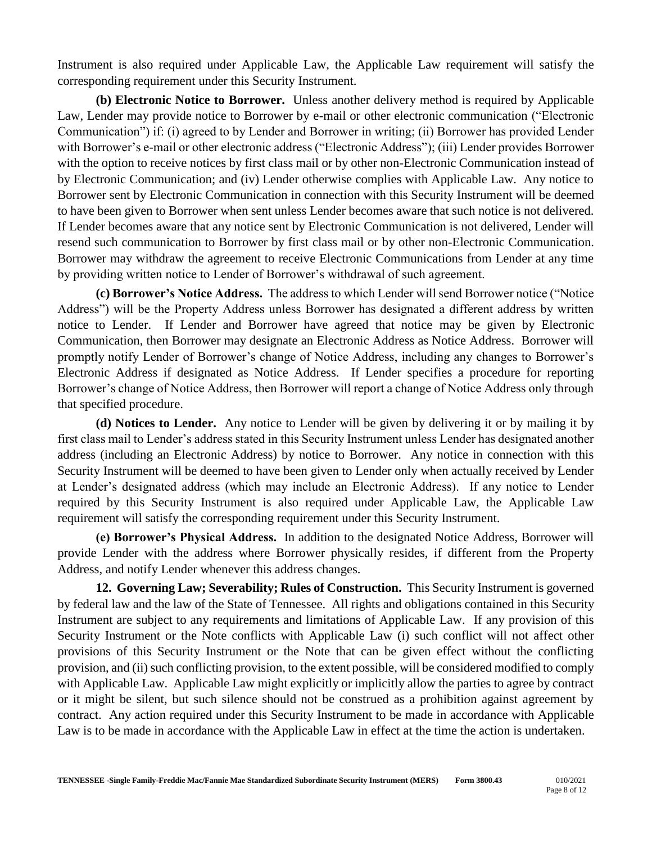Instrument is also required under Applicable Law, the Applicable Law requirement will satisfy the corresponding requirement under this Security Instrument.

**(b) Electronic Notice to Borrower.** Unless another delivery method is required by Applicable Law, Lender may provide notice to Borrower by e-mail or other electronic communication ("Electronic Communication") if: (i) agreed to by Lender and Borrower in writing; (ii) Borrower has provided Lender with Borrower's e-mail or other electronic address ("Electronic Address"); (iii) Lender provides Borrower with the option to receive notices by first class mail or by other non-Electronic Communication instead of by Electronic Communication; and (iv) Lender otherwise complies with Applicable Law. Any notice to Borrower sent by Electronic Communication in connection with this Security Instrument will be deemed to have been given to Borrower when sent unless Lender becomes aware that such notice is not delivered. If Lender becomes aware that any notice sent by Electronic Communication is not delivered, Lender will resend such communication to Borrower by first class mail or by other non-Electronic Communication. Borrower may withdraw the agreement to receive Electronic Communications from Lender at any time by providing written notice to Lender of Borrower's withdrawal of such agreement.

**(c) Borrower's Notice Address.** The address to which Lender will send Borrower notice ("Notice Address") will be the Property Address unless Borrower has designated a different address by written notice to Lender. If Lender and Borrower have agreed that notice may be given by Electronic Communication, then Borrower may designate an Electronic Address as Notice Address. Borrower will promptly notify Lender of Borrower's change of Notice Address, including any changes to Borrower's Electronic Address if designated as Notice Address. If Lender specifies a procedure for reporting Borrower's change of Notice Address, then Borrower will report a change of Notice Address only through that specified procedure.

**(d) Notices to Lender.** Any notice to Lender will be given by delivering it or by mailing it by first class mail to Lender's address stated in this Security Instrument unless Lender has designated another address (including an Electronic Address) by notice to Borrower. Any notice in connection with this Security Instrument will be deemed to have been given to Lender only when actually received by Lender at Lender's designated address (which may include an Electronic Address). If any notice to Lender required by this Security Instrument is also required under Applicable Law, the Applicable Law requirement will satisfy the corresponding requirement under this Security Instrument.

**(e) Borrower's Physical Address.** In addition to the designated Notice Address, Borrower will provide Lender with the address where Borrower physically resides, if different from the Property Address, and notify Lender whenever this address changes.

**12. Governing Law; Severability; Rules of Construction.** This Security Instrument is governed by federal law and the law of the State of Tennessee. All rights and obligations contained in this Security Instrument are subject to any requirements and limitations of Applicable Law. If any provision of this Security Instrument or the Note conflicts with Applicable Law (i) such conflict will not affect other provisions of this Security Instrument or the Note that can be given effect without the conflicting provision, and (ii) such conflicting provision, to the extent possible, will be considered modified to comply with Applicable Law. Applicable Law might explicitly or implicitly allow the parties to agree by contract or it might be silent, but such silence should not be construed as a prohibition against agreement by contract. Any action required under this Security Instrument to be made in accordance with Applicable Law is to be made in accordance with the Applicable Law in effect at the time the action is undertaken.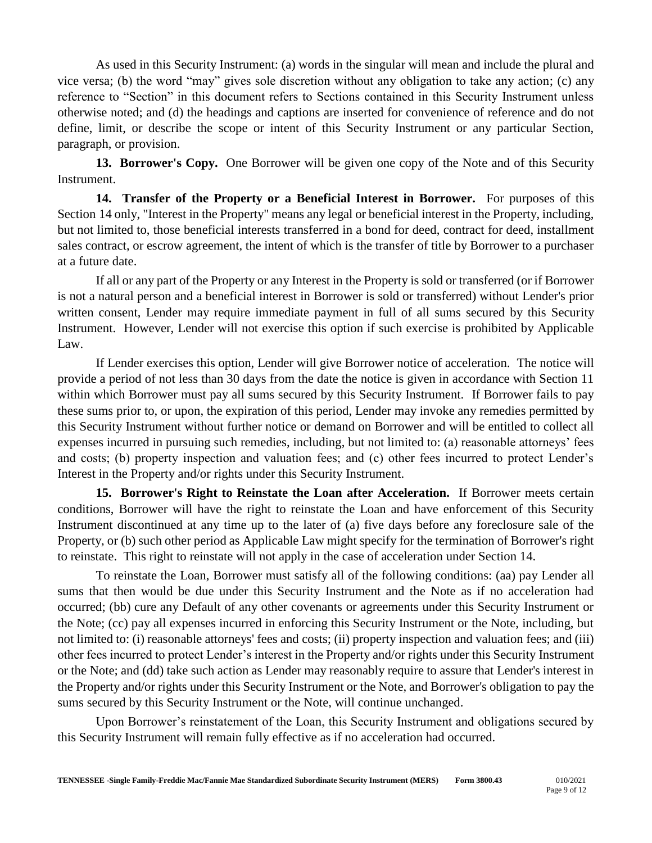As used in this Security Instrument: (a) words in the singular will mean and include the plural and vice versa; (b) the word "may" gives sole discretion without any obligation to take any action; (c) any reference to "Section" in this document refers to Sections contained in this Security Instrument unless otherwise noted; and (d) the headings and captions are inserted for convenience of reference and do not define, limit, or describe the scope or intent of this Security Instrument or any particular Section, paragraph, or provision.

**13. Borrower's Copy.** One Borrower will be given one copy of the Note and of this Security Instrument.

**14. Transfer of the Property or a Beneficial Interest in Borrower.** For purposes of this Section 14 only, "Interest in the Property" means any legal or beneficial interest in the Property, including, but not limited to, those beneficial interests transferred in a bond for deed, contract for deed, installment sales contract, or escrow agreement, the intent of which is the transfer of title by Borrower to a purchaser at a future date.

If all or any part of the Property or any Interest in the Property is sold or transferred (or if Borrower is not a natural person and a beneficial interest in Borrower is sold or transferred) without Lender's prior written consent, Lender may require immediate payment in full of all sums secured by this Security Instrument. However, Lender will not exercise this option if such exercise is prohibited by Applicable Law.

If Lender exercises this option, Lender will give Borrower notice of acceleration. The notice will provide a period of not less than 30 days from the date the notice is given in accordance with Section 11 within which Borrower must pay all sums secured by this Security Instrument. If Borrower fails to pay these sums prior to, or upon, the expiration of this period, Lender may invoke any remedies permitted by this Security Instrument without further notice or demand on Borrower and will be entitled to collect all expenses incurred in pursuing such remedies, including, but not limited to: (a) reasonable attorneys' fees and costs; (b) property inspection and valuation fees; and (c) other fees incurred to protect Lender's Interest in the Property and/or rights under this Security Instrument.

**15. Borrower's Right to Reinstate the Loan after Acceleration.** If Borrower meets certain conditions, Borrower will have the right to reinstate the Loan and have enforcement of this Security Instrument discontinued at any time up to the later of (a) five days before any foreclosure sale of the Property, or (b) such other period as Applicable Law might specify for the termination of Borrower's right to reinstate. This right to reinstate will not apply in the case of acceleration under Section 14.

To reinstate the Loan, Borrower must satisfy all of the following conditions: (aa) pay Lender all sums that then would be due under this Security Instrument and the Note as if no acceleration had occurred; (bb) cure any Default of any other covenants or agreements under this Security Instrument or the Note; (cc) pay all expenses incurred in enforcing this Security Instrument or the Note, including, but not limited to: (i) reasonable attorneys' fees and costs; (ii) property inspection and valuation fees; and (iii) other fees incurred to protect Lender's interest in the Property and/or rights under this Security Instrument or the Note; and (dd) take such action as Lender may reasonably require to assure that Lender's interest in the Property and/or rights under this Security Instrument or the Note, and Borrower's obligation to pay the sums secured by this Security Instrument or the Note, will continue unchanged.

Upon Borrower's reinstatement of the Loan, this Security Instrument and obligations secured by this Security Instrument will remain fully effective as if no acceleration had occurred.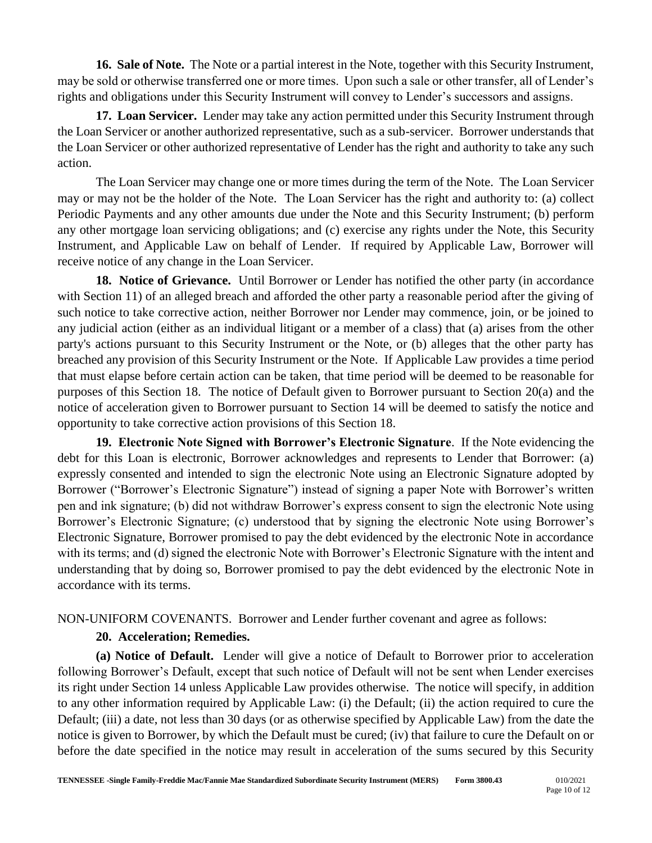**16. Sale of Note.** The Note or a partial interest in the Note, together with this Security Instrument, may be sold or otherwise transferred one or more times. Upon such a sale or other transfer, all of Lender's rights and obligations under this Security Instrument will convey to Lender's successors and assigns.

**17. Loan Servicer.** Lender may take any action permitted under this Security Instrument through the Loan Servicer or another authorized representative, such as a sub-servicer. Borrower understands that the Loan Servicer or other authorized representative of Lender has the right and authority to take any such action.

The Loan Servicer may change one or more times during the term of the Note. The Loan Servicer may or may not be the holder of the Note. The Loan Servicer has the right and authority to: (a) collect Periodic Payments and any other amounts due under the Note and this Security Instrument; (b) perform any other mortgage loan servicing obligations; and (c) exercise any rights under the Note, this Security Instrument, and Applicable Law on behalf of Lender. If required by Applicable Law, Borrower will receive notice of any change in the Loan Servicer.

**18. Notice of Grievance.** Until Borrower or Lender has notified the other party (in accordance with Section 11) of an alleged breach and afforded the other party a reasonable period after the giving of such notice to take corrective action, neither Borrower nor Lender may commence, join, or be joined to any judicial action (either as an individual litigant or a member of a class) that (a) arises from the other party's actions pursuant to this Security Instrument or the Note, or (b) alleges that the other party has breached any provision of this Security Instrument or the Note. If Applicable Law provides a time period that must elapse before certain action can be taken, that time period will be deemed to be reasonable for purposes of this Section 18. The notice of Default given to Borrower pursuant to Section 20(a) and the notice of acceleration given to Borrower pursuant to Section 14 will be deemed to satisfy the notice and opportunity to take corrective action provisions of this Section 18.

**19. Electronic Note Signed with Borrower's Electronic Signature**. If the Note evidencing the debt for this Loan is electronic, Borrower acknowledges and represents to Lender that Borrower: (a) expressly consented and intended to sign the electronic Note using an Electronic Signature adopted by Borrower ("Borrower's Electronic Signature") instead of signing a paper Note with Borrower's written pen and ink signature; (b) did not withdraw Borrower's express consent to sign the electronic Note using Borrower's Electronic Signature; (c) understood that by signing the electronic Note using Borrower's Electronic Signature, Borrower promised to pay the debt evidenced by the electronic Note in accordance with its terms; and (d) signed the electronic Note with Borrower's Electronic Signature with the intent and understanding that by doing so, Borrower promised to pay the debt evidenced by the electronic Note in accordance with its terms.

## NON-UNIFORM COVENANTS. Borrower and Lender further covenant and agree as follows:

## **20. Acceleration; Remedies.**

**(a) Notice of Default.** Lender will give a notice of Default to Borrower prior to acceleration following Borrower's Default, except that such notice of Default will not be sent when Lender exercises its right under Section 14 unless Applicable Law provides otherwise. The notice will specify, in addition to any other information required by Applicable Law: (i) the Default; (ii) the action required to cure the Default; (iii) a date, not less than 30 days (or as otherwise specified by Applicable Law) from the date the notice is given to Borrower, by which the Default must be cured; (iv) that failure to cure the Default on or before the date specified in the notice may result in acceleration of the sums secured by this Security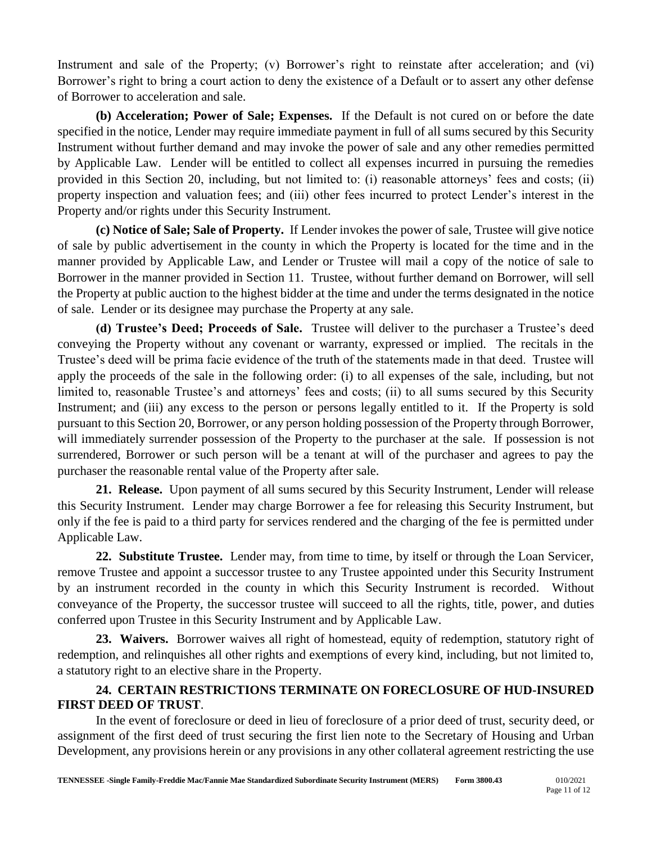Instrument and sale of the Property; (v) Borrower's right to reinstate after acceleration; and (vi) Borrower's right to bring a court action to deny the existence of a Default or to assert any other defense of Borrower to acceleration and sale.

**(b) Acceleration; Power of Sale; Expenses.** If the Default is not cured on or before the date specified in the notice, Lender may require immediate payment in full of all sums secured by this Security Instrument without further demand and may invoke the power of sale and any other remedies permitted by Applicable Law. Lender will be entitled to collect all expenses incurred in pursuing the remedies provided in this Section 20, including, but not limited to: (i) reasonable attorneys' fees and costs; (ii) property inspection and valuation fees; and (iii) other fees incurred to protect Lender's interest in the Property and/or rights under this Security Instrument.

**(c) Notice of Sale; Sale of Property.** If Lender invokes the power of sale, Trustee will give notice of sale by public advertisement in the county in which the Property is located for the time and in the manner provided by Applicable Law, and Lender or Trustee will mail a copy of the notice of sale to Borrower in the manner provided in Section 11. Trustee, without further demand on Borrower, will sell the Property at public auction to the highest bidder at the time and under the terms designated in the notice of sale. Lender or its designee may purchase the Property at any sale.

**(d) Trustee's Deed; Proceeds of Sale.** Trustee will deliver to the purchaser a Trustee's deed conveying the Property without any covenant or warranty, expressed or implied. The recitals in the Trustee's deed will be prima facie evidence of the truth of the statements made in that deed. Trustee will apply the proceeds of the sale in the following order: (i) to all expenses of the sale, including, but not limited to, reasonable Trustee's and attorneys' fees and costs; (ii) to all sums secured by this Security Instrument; and (iii) any excess to the person or persons legally entitled to it. If the Property is sold pursuant to this Section 20, Borrower, or any person holding possession of the Property through Borrower, will immediately surrender possession of the Property to the purchaser at the sale. If possession is not surrendered, Borrower or such person will be a tenant at will of the purchaser and agrees to pay the purchaser the reasonable rental value of the Property after sale.

**21. Release.** Upon payment of all sums secured by this Security Instrument, Lender will release this Security Instrument. Lender may charge Borrower a fee for releasing this Security Instrument, but only if the fee is paid to a third party for services rendered and the charging of the fee is permitted under Applicable Law.

**22. Substitute Trustee.** Lender may, from time to time, by itself or through the Loan Servicer, remove Trustee and appoint a successor trustee to any Trustee appointed under this Security Instrument by an instrument recorded in the county in which this Security Instrument is recorded. Without conveyance of the Property, the successor trustee will succeed to all the rights, title, power, and duties conferred upon Trustee in this Security Instrument and by Applicable Law.

**23. Waivers.** Borrower waives all right of homestead, equity of redemption, statutory right of redemption, and relinquishes all other rights and exemptions of every kind, including, but not limited to, a statutory right to an elective share in the Property.

# **24. CERTAIN RESTRICTIONS TERMINATE ON FORECLOSURE OF HUD-INSURED FIRST DEED OF TRUST**.

In the event of foreclosure or deed in lieu of foreclosure of a prior deed of trust, security deed, or assignment of the first deed of trust securing the first lien note to the Secretary of Housing and Urban Development, any provisions herein or any provisions in any other collateral agreement restricting the use